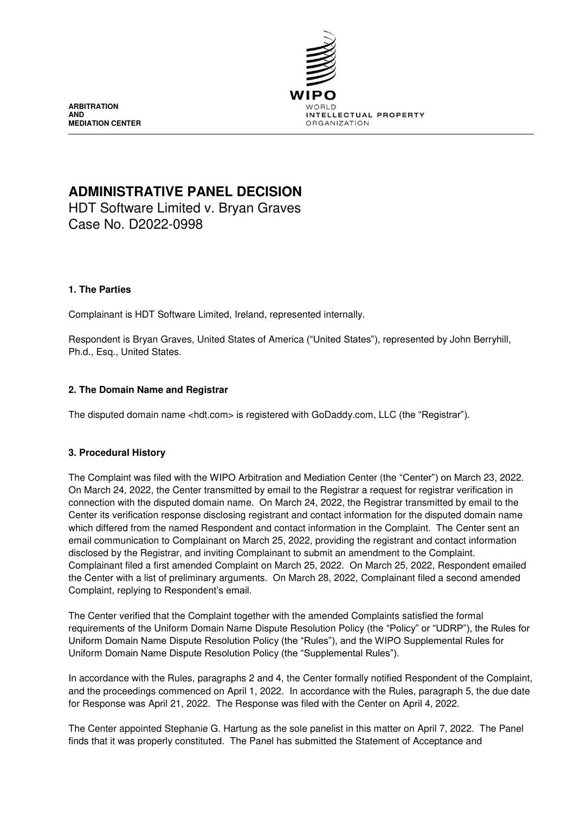

**ARBITRATION AND MEDIATION CENTER**

# **ADMINISTRATIVE PANEL DECISION**

HDT Software Limited v. Bryan Graves Case No. D2022-0998

# **1. The Parties**

Complainant is HDT Software Limited, Ireland, represented internally.

Respondent is Bryan Graves, United States of America ("United States"), represented by John Berryhill, Ph.d., Esq., United States.

# **2. The Domain Name and Registrar**

The disputed domain name <hdt.com> is registered with GoDaddy.com, LLC (the "Registrar").

# **3. Procedural History**

The Complaint was filed with the WIPO Arbitration and Mediation Center (the "Center") on March 23, 2022. On March 24, 2022, the Center transmitted by email to the Registrar a request for registrar verification in connection with the disputed domain name. On March 24, 2022, the Registrar transmitted by email to the Center its verification response disclosing registrant and contact information for the disputed domain name which differed from the named Respondent and contact information in the Complaint. The Center sent an email communication to Complainant on March 25, 2022, providing the registrant and contact information disclosed by the Registrar, and inviting Complainant to submit an amendment to the Complaint. Complainant filed a first amended Complaint on March 25, 2022. On March 25, 2022, Respondent emailed the Center with a list of preliminary arguments. On March 28, 2022, Complainant filed a second amended Complaint, replying to Respondent's email.

The Center verified that the Complaint together with the amended Complaints satisfied the formal requirements of the Uniform Domain Name Dispute Resolution Policy (the "Policy" or "UDRP"), the Rules for Uniform Domain Name Dispute Resolution Policy (the "Rules"), and the WIPO Supplemental Rules for Uniform Domain Name Dispute Resolution Policy (the "Supplemental Rules").

In accordance with the Rules, paragraphs 2 and 4, the Center formally notified Respondent of the Complaint, and the proceedings commenced on April 1, 2022. In accordance with the Rules, paragraph 5, the due date for Response was April 21, 2022. The Response was filed with the Center on April 4, 2022.

The Center appointed Stephanie G. Hartung as the sole panelist in this matter on April 7, 2022. The Panel finds that it was properly constituted. The Panel has submitted the Statement of Acceptance and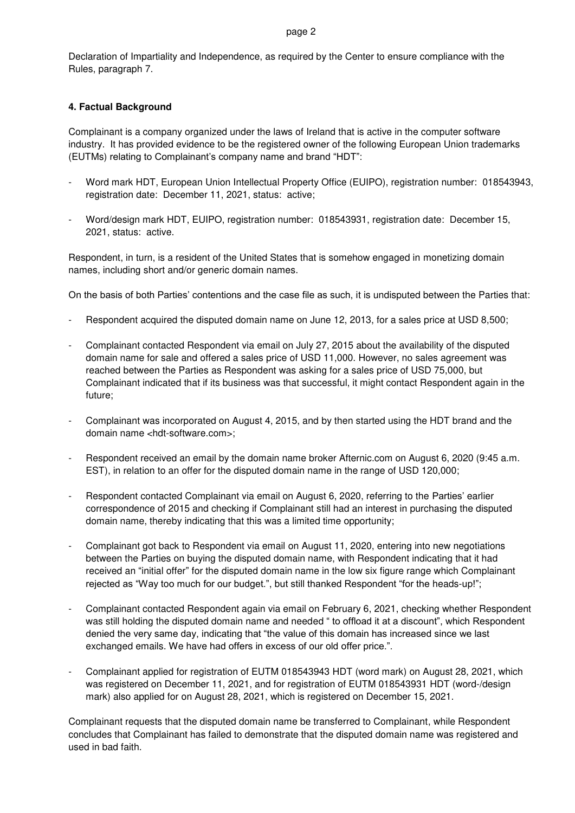#### page 2

Declaration of Impartiality and Independence, as required by the Center to ensure compliance with the Rules, paragraph 7.

#### **4. Factual Background**

Complainant is a company organized under the laws of Ireland that is active in the computer software industry. It has provided evidence to be the registered owner of the following European Union trademarks (EUTMs) relating to Complainant's company name and brand "HDT":

- Word mark HDT, European Union Intellectual Property Office (EUIPO), registration number: 018543943, registration date: December 11, 2021, status: active;
- Word/design mark HDT, EUIPO, registration number: 018543931, registration date: December 15, 2021, status: active.

Respondent, in turn, is a resident of the United States that is somehow engaged in monetizing domain names, including short and/or generic domain names.

On the basis of both Parties' contentions and the case file as such, it is undisputed between the Parties that:

- Respondent acquired the disputed domain name on June 12, 2013, for a sales price at USD 8,500;
- Complainant contacted Respondent via email on July 27, 2015 about the availability of the disputed domain name for sale and offered a sales price of USD 11,000. However, no sales agreement was reached between the Parties as Respondent was asking for a sales price of USD 75,000, but Complainant indicated that if its business was that successful, it might contact Respondent again in the future;
- Complainant was incorporated on August 4, 2015, and by then started using the HDT brand and the domain name <hdt-software.com>;
- Respondent received an email by the domain name broker Afternic.com on August 6, 2020 (9:45 a.m. EST), in relation to an offer for the disputed domain name in the range of USD 120,000;
- Respondent contacted Complainant via email on August 6, 2020, referring to the Parties' earlier correspondence of 2015 and checking if Complainant still had an interest in purchasing the disputed domain name, thereby indicating that this was a limited time opportunity;
- Complainant got back to Respondent via email on August 11, 2020, entering into new negotiations between the Parties on buying the disputed domain name, with Respondent indicating that it had received an "initial offer" for the disputed domain name in the low six figure range which Complainant rejected as "Way too much for our budget.", but still thanked Respondent "for the heads-up!";
- Complainant contacted Respondent again via email on February 6, 2021, checking whether Respondent was still holding the disputed domain name and needed " to offload it at a discount", which Respondent denied the very same day, indicating that "the value of this domain has increased since we last exchanged emails. We have had offers in excess of our old offer price.".
- Complainant applied for registration of EUTM 018543943 HDT (word mark) on August 28, 2021, which was registered on December 11, 2021, and for registration of EUTM 018543931 HDT (word-/design mark) also applied for on August 28, 2021, which is registered on December 15, 2021.

Complainant requests that the disputed domain name be transferred to Complainant, while Respondent concludes that Complainant has failed to demonstrate that the disputed domain name was registered and used in bad faith.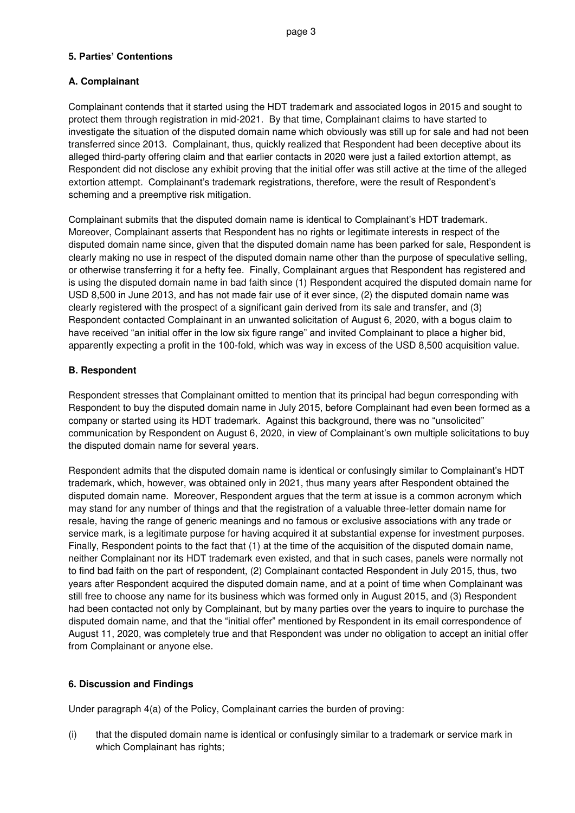# **5. Parties' Contentions**

# **A. Complainant**

Complainant contends that it started using the HDT trademark and associated logos in 2015 and sought to protect them through registration in mid-2021. By that time, Complainant claims to have started to investigate the situation of the disputed domain name which obviously was still up for sale and had not been transferred since 2013. Complainant, thus, quickly realized that Respondent had been deceptive about its alleged third-party offering claim and that earlier contacts in 2020 were just a failed extortion attempt, as Respondent did not disclose any exhibit proving that the initial offer was still active at the time of the alleged extortion attempt. Complainant's trademark registrations, therefore, were the result of Respondent's scheming and a preemptive risk mitigation.

Complainant submits that the disputed domain name is identical to Complainant's HDT trademark. Moreover, Complainant asserts that Respondent has no rights or legitimate interests in respect of the disputed domain name since, given that the disputed domain name has been parked for sale, Respondent is clearly making no use in respect of the disputed domain name other than the purpose of speculative selling, or otherwise transferring it for a hefty fee. Finally, Complainant argues that Respondent has registered and is using the disputed domain name in bad faith since (1) Respondent acquired the disputed domain name for USD 8,500 in June 2013, and has not made fair use of it ever since, (2) the disputed domain name was clearly registered with the prospect of a significant gain derived from its sale and transfer, and (3) Respondent contacted Complainant in an unwanted solicitation of August 6, 2020, with a bogus claim to have received "an initial offer in the low six figure range" and invited Complainant to place a higher bid, apparently expecting a profit in the 100-fold, which was way in excess of the USD 8,500 acquisition value.

# **B. Respondent**

Respondent stresses that Complainant omitted to mention that its principal had begun corresponding with Respondent to buy the disputed domain name in July 2015, before Complainant had even been formed as a company or started using its HDT trademark. Against this background, there was no "unsolicited" communication by Respondent on August 6, 2020, in view of Complainant's own multiple solicitations to buy the disputed domain name for several years.

Respondent admits that the disputed domain name is identical or confusingly similar to Complainant's HDT trademark, which, however, was obtained only in 2021, thus many years after Respondent obtained the disputed domain name. Moreover, Respondent argues that the term at issue is a common acronym which may stand for any number of things and that the registration of a valuable three-letter domain name for resale, having the range of generic meanings and no famous or exclusive associations with any trade or service mark, is a legitimate purpose for having acquired it at substantial expense for investment purposes. Finally, Respondent points to the fact that (1) at the time of the acquisition of the disputed domain name, neither Complainant nor its HDT trademark even existed, and that in such cases, panels were normally not to find bad faith on the part of respondent, (2) Complainant contacted Respondent in July 2015, thus, two years after Respondent acquired the disputed domain name, and at a point of time when Complainant was still free to choose any name for its business which was formed only in August 2015, and (3) Respondent had been contacted not only by Complainant, but by many parties over the years to inquire to purchase the disputed domain name, and that the "initial offer" mentioned by Respondent in its email correspondence of August 11, 2020, was completely true and that Respondent was under no obligation to accept an initial offer from Complainant or anyone else.

# **6. Discussion and Findings**

Under paragraph 4(a) of the Policy, Complainant carries the burden of proving:

(i) that the disputed domain name is identical or confusingly similar to a trademark or service mark in which Complainant has rights;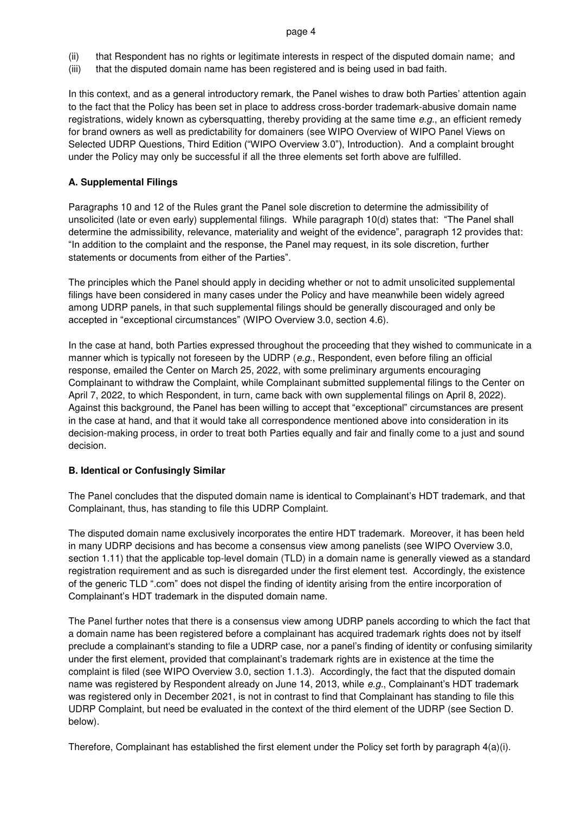#### page 4

- (ii) that Respondent has no rights or legitimate interests in respect of the disputed domain name; and
- (iii) that the disputed domain name has been registered and is being used in bad faith.

In this context, and as a general introductory remark, the Panel wishes to draw both Parties' attention again to the fact that the Policy has been set in place to address cross-border trademark-abusive domain name registrations, widely known as cybersquatting, thereby providing at the same time *e.g.*, an efficient remedy for brand owners as well as predictability for domainers (see WIPO Overview of WIPO Panel Views on Selected UDRP Questions, Third Edition ("WIPO Overview 3.0"), Introduction). And a complaint brought under the Policy may only be successful if all the three elements set forth above are fulfilled.

# **A. Supplemental Filings**

Paragraphs 10 and 12 of the Rules grant the Panel sole discretion to determine the admissibility of unsolicited (late or even early) supplemental filings. While paragraph 10(d) states that: "The Panel shall determine the admissibility, relevance, materiality and weight of the evidence", paragraph 12 provides that: "In addition to the complaint and the response, the Panel may request, in its sole discretion, further statements or documents from either of the Parties".

The principles which the Panel should apply in deciding whether or not to admit unsolicited supplemental filings have been considered in many cases under the Policy and have meanwhile been widely agreed among UDRP panels, in that such supplemental filings should be generally discouraged and only be accepted in "exceptional circumstances" (WIPO Overview 3.0, section 4.6).

In the case at hand, both Parties expressed throughout the proceeding that they wished to communicate in a manner which is typically not foreseen by the UDRP (*e.g.*, Respondent, even before filing an official response, emailed the Center on March 25, 2022, with some preliminary arguments encouraging Complainant to withdraw the Complaint, while Complainant submitted supplemental filings to the Center on April 7, 2022, to which Respondent, in turn, came back with own supplemental filings on April 8, 2022). Against this background, the Panel has been willing to accept that "exceptional" circumstances are present in the case at hand, and that it would take all correspondence mentioned above into consideration in its decision-making process, in order to treat both Parties equally and fair and finally come to a just and sound decision.

# **B. Identical or Confusingly Similar**

The Panel concludes that the disputed domain name is identical to Complainant's HDT trademark, and that Complainant, thus, has standing to file this UDRP Complaint.

The disputed domain name exclusively incorporates the entire HDT trademark. Moreover, it has been held in many UDRP decisions and has become a consensus view among panelists (see WIPO Overview 3.0, section 1.11) that the applicable top-level domain (TLD) in a domain name is generally viewed as a standard registration requirement and as such is disregarded under the first element test. Accordingly, the existence of the generic TLD ".com" does not dispel the finding of identity arising from the entire incorporation of Complainant's HDT trademark in the disputed domain name.

The Panel further notes that there is a consensus view among UDRP panels according to which the fact that a domain name has been registered before a complainant has acquired trademark rights does not by itself preclude a complainant's standing to file a UDRP case, nor a panel's finding of identity or confusing similarity under the first element, provided that complainant's trademark rights are in existence at the time the complaint is filed (see WIPO Overview 3.0, section 1.1.3). Accordingly, the fact that the disputed domain name was registered by Respondent already on June 14, 2013, while *e.g.*, Complainant's HDT trademark was registered only in December 2021, is not in contrast to find that Complainant has standing to file this UDRP Complaint, but need be evaluated in the context of the third element of the UDRP (see Section D. below).

Therefore, Complainant has established the first element under the Policy set forth by paragraph 4(a)(i).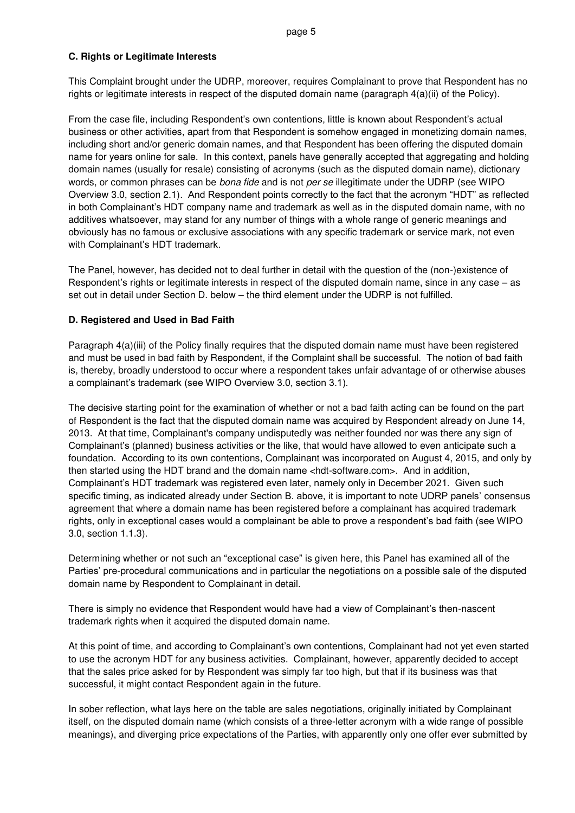# **C. Rights or Legitimate Interests**

This Complaint brought under the UDRP, moreover, requires Complainant to prove that Respondent has no rights or legitimate interests in respect of the disputed domain name (paragraph 4(a)(ii) of the Policy).

From the case file, including Respondent's own contentions, little is known about Respondent's actual business or other activities, apart from that Respondent is somehow engaged in monetizing domain names, including short and/or generic domain names, and that Respondent has been offering the disputed domain name for years online for sale. In this context, panels have generally accepted that aggregating and holding domain names (usually for resale) consisting of acronyms (such as the disputed domain name), dictionary words, or common phrases can be *bona fide* and is not *per se* illegitimate under the UDRP (see WIPO Overview 3.0, section 2.1). And Respondent points correctly to the fact that the acronym "HDT" as reflected in both Complainant's HDT company name and trademark as well as in the disputed domain name, with no additives whatsoever, may stand for any number of things with a whole range of generic meanings and obviously has no famous or exclusive associations with any specific trademark or service mark, not even with Complainant's HDT trademark.

The Panel, however, has decided not to deal further in detail with the question of the (non-)existence of Respondent's rights or legitimate interests in respect of the disputed domain name, since in any case – as set out in detail under Section D. below – the third element under the UDRP is not fulfilled.

# **D. Registered and Used in Bad Faith**

Paragraph 4(a)(iii) of the Policy finally requires that the disputed domain name must have been registered and must be used in bad faith by Respondent, if the Complaint shall be successful. The notion of bad faith is, thereby, broadly understood to occur where a respondent takes unfair advantage of or otherwise abuses a complainant's trademark (see WIPO Overview 3.0, section 3.1).

The decisive starting point for the examination of whether or not a bad faith acting can be found on the part of Respondent is the fact that the disputed domain name was acquired by Respondent already on June 14, 2013. At that time, Complainant's company undisputedly was neither founded nor was there any sign of Complainant's (planned) business activities or the like, that would have allowed to even anticipate such a foundation. According to its own contentions, Complainant was incorporated on August 4, 2015, and only by then started using the HDT brand and the domain name <hdt-software.com>. And in addition, Complainant's HDT trademark was registered even later, namely only in December 2021. Given such specific timing, as indicated already under Section B. above, it is important to note UDRP panels' consensus agreement that where a domain name has been registered before a complainant has acquired trademark rights, only in exceptional cases would a complainant be able to prove a respondent's bad faith (see WIPO 3.0, section 1.1.3).

Determining whether or not such an "exceptional case" is given here, this Panel has examined all of the Parties' pre-procedural communications and in particular the negotiations on a possible sale of the disputed domain name by Respondent to Complainant in detail.

There is simply no evidence that Respondent would have had a view of Complainant's then-nascent trademark rights when it acquired the disputed domain name.

At this point of time, and according to Complainant's own contentions, Complainant had not yet even started to use the acronym HDT for any business activities. Complainant, however, apparently decided to accept that the sales price asked for by Respondent was simply far too high, but that if its business was that successful, it might contact Respondent again in the future.

In sober reflection, what lays here on the table are sales negotiations, originally initiated by Complainant itself, on the disputed domain name (which consists of a three-letter acronym with a wide range of possible meanings), and diverging price expectations of the Parties, with apparently only one offer ever submitted by